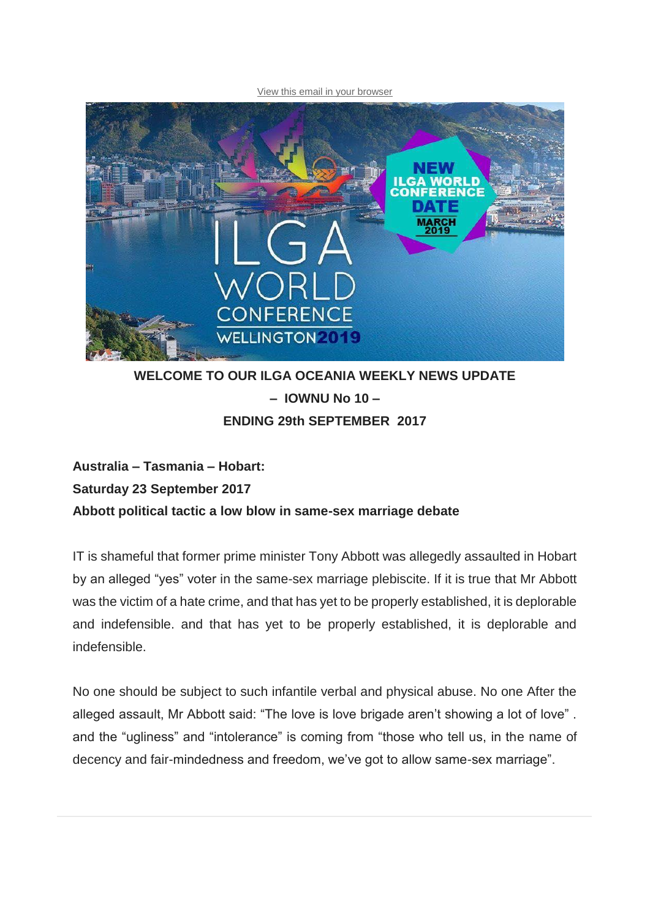#### [View this email in your browser](http://mailchi.mp/a0ccb11c5a20/ilga-oceania-newsletter?e=c642b5c34c)



## **WELCOME TO OUR ILGA OCEANIA WEEKLY NEWS UPDATE – IOWNU No 10 – ENDING 29th SEPTEMBER 2017**

## **Australia – Tasmania – Hobart: Saturday 23 September 2017 Abbott political tactic a low blow in same-sex marriage debate**

IT is shameful that former prime minister Tony Abbott was allegedly assaulted in Hobart by an alleged "yes" voter in the same-sex marriage plebiscite. If it is true that Mr Abbott was the victim of a hate crime, and that has yet to be properly established, it is deplorable and indefensible. and that has yet to be properly established, it is deplorable and indefensible.

No one should be subject to such infantile verbal and physical abuse. No one After the alleged assault, Mr Abbott said: "The love is love brigade aren't showing a lot of love" . and the "ugliness" and "intolerance" is coming from "those who tell us, in the name of decency and fair-mindedness and freedom, we've got to allow same-sex marriage".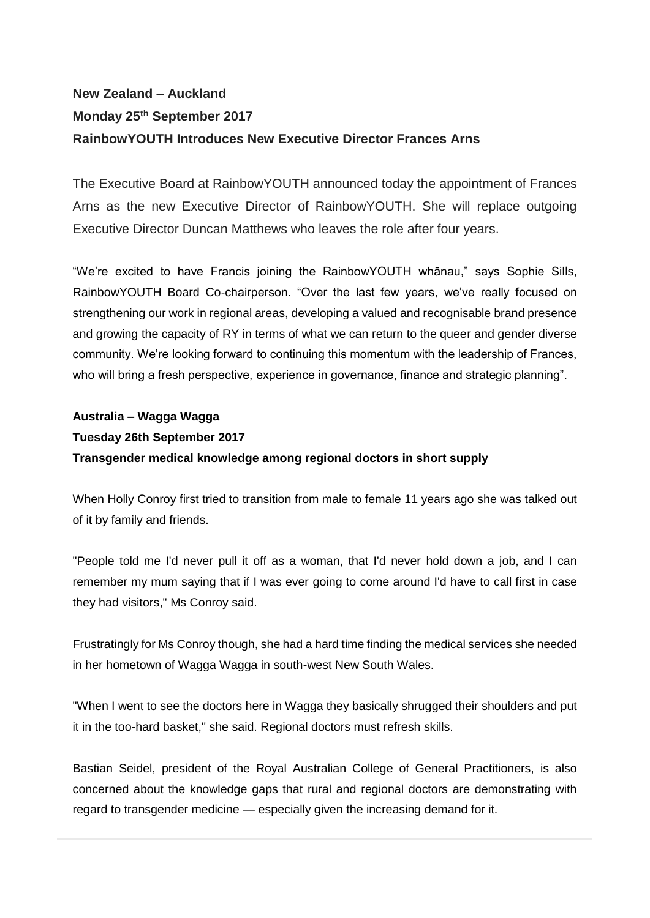# **New Zealand – Auckland Monday 25th September 2017 RainbowYOUTH Introduces New Executive Director Frances Arns**

The Executive Board at RainbowYOUTH announced today the appointment of Frances Arns as the new Executive Director of RainbowYOUTH. She will replace outgoing Executive Director Duncan Matthews who leaves the role after four years.

"We're excited to have Francis joining the RainbowYOUTH whānau," says Sophie Sills, RainbowYOUTH Board Co-chairperson. "Over the last few years, we've really focused on strengthening our work in regional areas, developing a valued and recognisable brand presence and growing the capacity of RY in terms of what we can return to the queer and gender diverse community. We're looking forward to continuing this momentum with the leadership of Frances, who will bring a fresh perspective, experience in governance, finance and strategic planning".

## **Australia – Wagga Wagga Tuesday 26th September 2017 Transgender medical knowledge among regional doctors in short supply**

When Holly Conroy first tried to transition from male to female 11 years ago she was talked out of it by family and friends.

"People told me I'd never pull it off as a woman, that I'd never hold down a job, and I can remember my mum saying that if I was ever going to come around I'd have to call first in case they had visitors," Ms Conroy said.

Frustratingly for Ms Conroy though, she had a hard time finding the medical services she needed in her hometown of Wagga Wagga in south-west New South Wales.

"When I went to see the doctors here in Wagga they basically shrugged their shoulders and put it in the too-hard basket," she said. Regional doctors must refresh skills.

Bastian Seidel, president of the Royal Australian College of General Practitioners, is also concerned about the knowledge gaps that rural and regional doctors are demonstrating with regard to transgender medicine — especially given the increasing demand for it.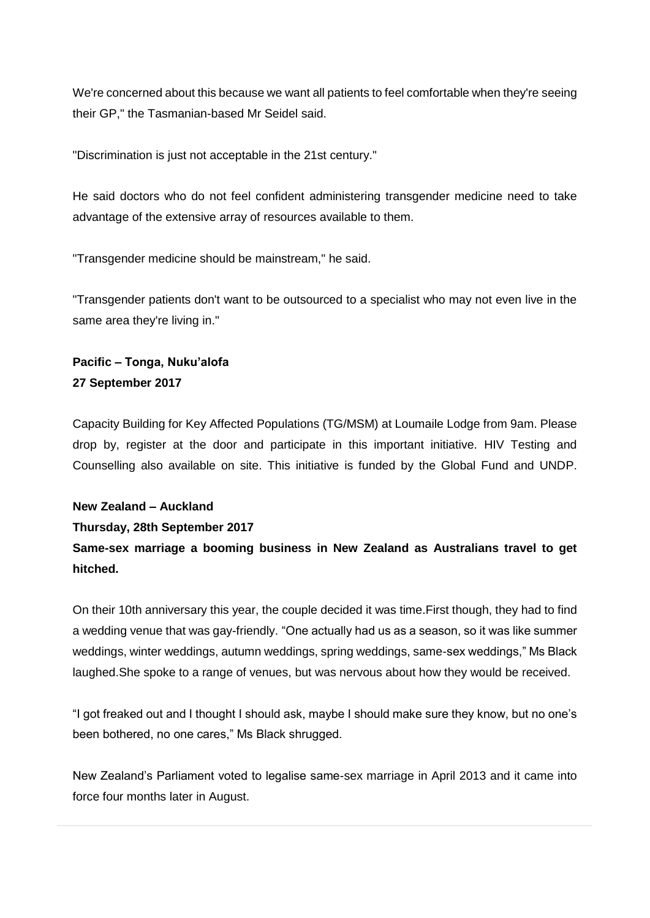We're concerned about this because we want all patients to feel comfortable when they're seeing their GP," the Tasmanian-based Mr Seidel said.

"Discrimination is just not acceptable in the 21st century."

He said doctors who do not feel confident administering transgender medicine need to take advantage of the extensive array of resources available to them.

"Transgender medicine should be mainstream," he said.

"Transgender patients don't want to be outsourced to a specialist who may not even live in the same area they're living in."

### **Pacific – Tonga, Nuku'alofa 27 September 2017**

Capacity Building for Key Affected Populations (TG/MSM) at Loumaile Lodge from 9am. Please drop by, register at the door and participate in this important initiative. HIV Testing and Counselling also available on site. This initiative is funded by the Global Fund and UNDP.

# **New Zealand – Auckland**

### **Thursday, 28th September 2017**

**Same-sex marriage a booming business in New Zealand as Australians travel to get hitched.**

On their 10th anniversary this year, the couple decided it was time.First though, they had to find a wedding venue that was gay-friendly. "One actually had us as a season, so it was like summer weddings, winter weddings, autumn weddings, spring weddings, same-sex weddings," Ms Black laughed.She spoke to a range of venues, but was nervous about how they would be received.

"I got freaked out and I thought I should ask, maybe I should make sure they know, but no one's been bothered, no one cares," Ms Black shrugged.

New Zealand's Parliament voted to legalise same-sex marriage in April 2013 and it came into force four months later in August.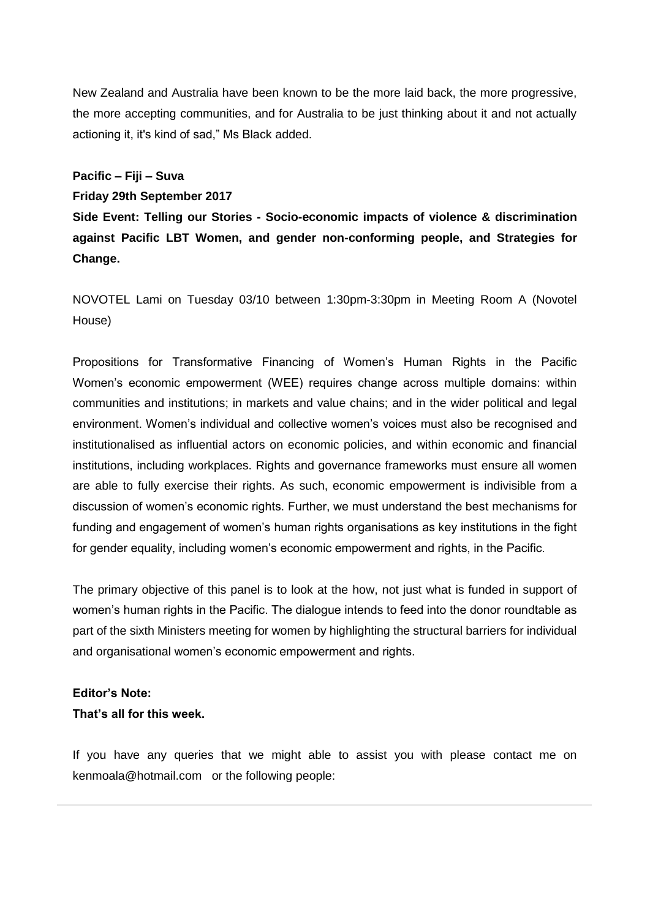New Zealand and Australia have been known to be the more laid back, the more progressive, the more accepting communities, and for Australia to be just thinking about it and not actually actioning it, it's kind of sad," Ms Black added.

### **Pacific – Fiji – Suva**

#### **Friday 29th September 2017**

**Side Event: Telling our Stories - Socio-economic impacts of violence & discrimination against Pacific LBT Women, and gender non-conforming people, and Strategies for Change.**

NOVOTEL Lami on Tuesday 03/10 between 1:30pm-3:30pm in Meeting Room A (Novotel House)

Propositions for Transformative Financing of Women's Human Rights in the Pacific Women's economic empowerment (WEE) requires change across multiple domains: within communities and institutions; in markets and value chains; and in the wider political and legal environment. Women's individual and collective women's voices must also be recognised and institutionalised as influential actors on economic policies, and within economic and financial institutions, including workplaces. Rights and governance frameworks must ensure all women are able to fully exercise their rights. As such, economic empowerment is indivisible from a discussion of women's economic rights. Further, we must understand the best mechanisms for funding and engagement of women's human rights organisations as key institutions in the fight for gender equality, including women's economic empowerment and rights, in the Pacific.

The primary objective of this panel is to look at the how, not just what is funded in support of women's human rights in the Pacific. The dialogue intends to feed into the donor roundtable as part of the sixth Ministers meeting for women by highlighting the structural barriers for individual and organisational women's economic empowerment and rights.

### **Editor's Note:**

### **That's all for this week.**

If you have any queries that we might able to assist you with please contact me on kenmoala@hotmail.com or the following people: